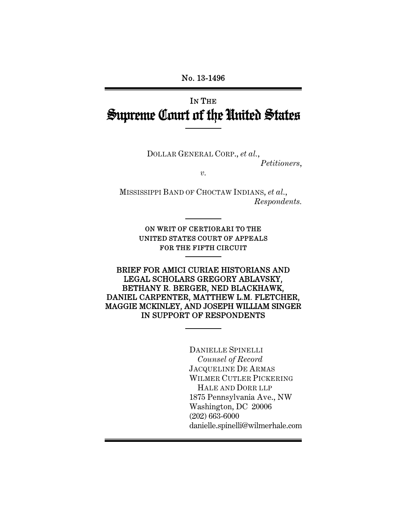# IN THE Supreme Court of the United States

DOLLAR GENERAL CORP., *et al.*,

*Petitioners*,

*v.* 

MISSISSIPPI BAND OF CHOCTAW INDIANS, *et al.*, *Respondents.* 

> ON WRIT OF CERTIORARI TO THE UNITED STATES COURT OF APPEALS FOR THE FIFTH CIRCUIT

#### BRIEF FOR AMICI CURIAE HISTORIANS AND LEGAL SCHOLARS GREGORY ABLAVSKY, BETHANY R. BERGER, NED BLACKHAWK, DANIEL CARPENTER, MATTHEW L.M. FLETCHER, MAGGIE MCKINLEY, AND JOSEPH WILLIAM SINGER IN SUPPORT OF RESPONDENTS

 DANIELLE SPINELLI *Counsel of Record* JACQUELINE DE ARMAS WILMER CUTLER PICKERING HALE AND DORR LLP 1875 Pennsylvania Ave., NW Washington, DC 20006 (202) 663-6000 danielle.spinelli@wilmerhale.com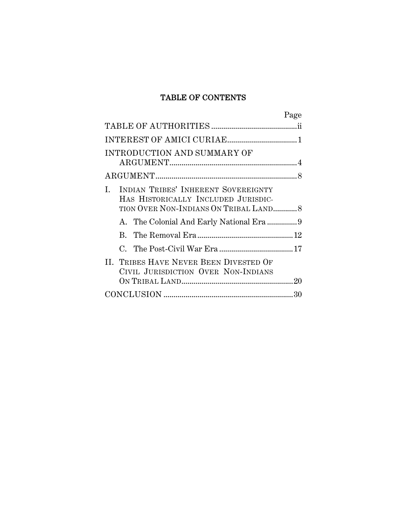## TABLE OF CONTENTS

|                                                                                                                          | Page |
|--------------------------------------------------------------------------------------------------------------------------|------|
|                                                                                                                          |      |
|                                                                                                                          |      |
| INTRODUCTION AND SUMMARY OF                                                                                              |      |
|                                                                                                                          |      |
| INDIAN TRIBES' INHERENT SOVEREIGNTY<br>L<br>HAS HISTORICALLY INCLUDED JURISDIC-<br>TION OVER NON-INDIANS ON TRIBAL LAND8 |      |
|                                                                                                                          |      |
|                                                                                                                          |      |
|                                                                                                                          |      |
| II. TRIBES HAVE NEVER BEEN DIVESTED OF<br>CIVIL JURISDICTION OVER NON-INDIANS                                            |      |
|                                                                                                                          |      |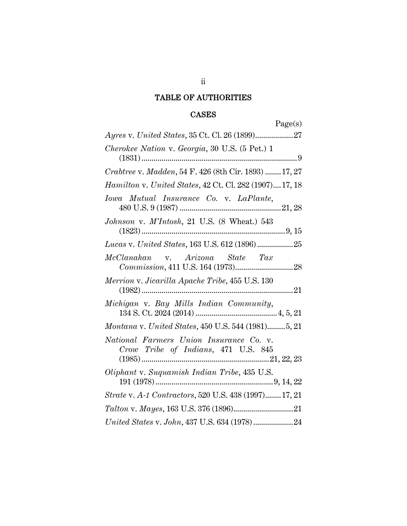## TABLE OF AUTHORITIES

## CASES

| Page(s)                                                                        |
|--------------------------------------------------------------------------------|
|                                                                                |
| Cherokee Nation v. Georgia, 30 U.S. (5 Pet.) 1                                 |
| Crabtree v. Madden, 54 F. 426 (8th Cir. 1893)  17, 27                          |
| Hamilton v. United States, 42 Ct. Cl. 282 (1907) 17, 18                        |
| Iowa Mutual Insurance Co. v. LaPlante,                                         |
| Johnson v. M'Intosh, 21 U.S. (8 Wheat.) 543                                    |
| Lucas v. United States, 163 U.S. 612 (1896)25                                  |
| McClanahan v. Arizona State Tax                                                |
| Merrion v. Jicarilla Apache Tribe, 455 U.S. 130                                |
| Michigan v. Bay Mills Indian Community,                                        |
| Montana v. United States, 450 U.S. 544 (1981)5, 21                             |
| National Farmers Union Insurance Co. v.<br>Crow Tribe of Indians, 471 U.S. 845 |
| Oliphant v. Suquamish Indian Tribe, 435 U.S.                                   |
| Strate v. A-1 Contractors, 520 U.S. 438 (1997)17, 21                           |
|                                                                                |
| United States v. John, 437 U.S. 634 (1978)24                                   |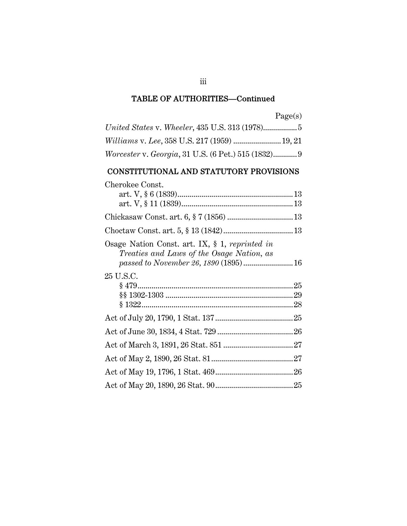| аое.<br>v. |
|------------|
|------------|

| Worcester v. Georgia, 31 U.S. (6 Pet.) 515 (1832)9 |  |
|----------------------------------------------------|--|

## CONSTITUTIONAL AND STATUTORY PROVISIONS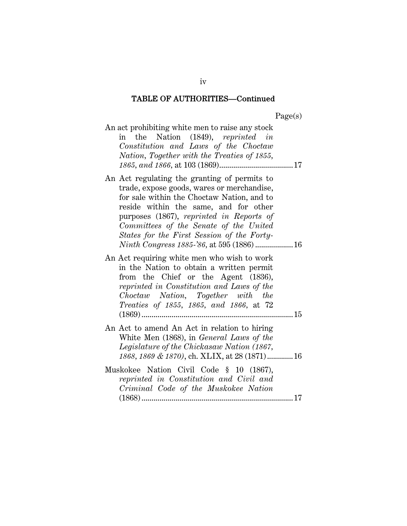$P<sub>90</sub>(s)$ 

|                                                                                                                                                                                                                                                                                                                                                                             | $\mathbf{u}$ $\mathbf{u}$ $\mathbf{v}$ $\mathbf{v}$ |
|-----------------------------------------------------------------------------------------------------------------------------------------------------------------------------------------------------------------------------------------------------------------------------------------------------------------------------------------------------------------------------|-----------------------------------------------------|
| An act prohibiting white men to raise any stock<br>in the Nation (1849), reprinted in<br>Constitution and Laws of the Choctaw<br>Nation, Together with the Treaties of 1855,                                                                                                                                                                                                |                                                     |
| An Act regulating the granting of permits to<br>trade, expose goods, wares or merchandise,<br>for sale within the Choctaw Nation, and to<br>reside within the same, and for other<br>purposes (1867), reprinted in Reports of<br>Committees of the Senate of the United<br>States for the First Session of the Forty-<br><i>Ninth Congress 1885-'86</i> , at 595 (1886)  16 |                                                     |
| An Act requiring white men who wish to work<br>in the Nation to obtain a written permit<br>from the Chief or the Agent (1836),<br>reprinted in Constitution and Laws of the<br>Choctaw Nation, Together with the<br>Treaties of 1855, 1865, and 1866, at 72<br>$(1869)$                                                                                                     |                                                     |
| An Act to amend An Act in relation to hiring<br>White Men (1868), in General Laws of the<br>Legislature of the Chickasaw Nation (1867,<br>1868, 1869 & 1870), ch. XLIX, at 28 (1871) 16                                                                                                                                                                                     |                                                     |
| Muskokee Nation Civil Code § 10 (1867),<br>reprinted in Constitution and Civil and<br>Criminal Code of the Muskokee Nation                                                                                                                                                                                                                                                  |                                                     |

iv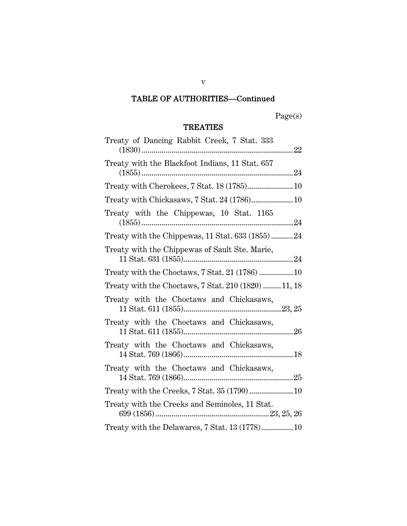Page(s)

## TREATIES

| Treaty of Dancing Rabbit Creek, 7 Stat. 333          |
|------------------------------------------------------|
| Treaty with the Blackfoot Indians, 11 Stat. 657      |
| Treaty with Cherokees, 7 Stat. 18 (1785) 10          |
| Treaty with Chickasaws, 7 Stat. 24 (1786) 10         |
| Treaty with the Chippewas, 10 Stat. 1165             |
| Treaty with the Chippewas, 11 Stat. 633 (1855)24     |
| Treaty with the Chippewas of Sault Ste. Marie,       |
| Treaty with the Choctaws, 7 Stat. 21 (1786)  10      |
| Treaty with the Choctaws, 7 Stat. 210 (1820)  11, 18 |
| Treaty with the Choctaws and Chickasaws,             |
| Treaty with the Choctaws and Chickasaws,             |
| Treaty with the Choctaws and Chickasaws,             |
| Treaty with the Choctaws and Chickasaws,             |
| Treaty with the Creeks, $7$ Stat. $35(1790)$ 10      |
| Treaty with the Creeks and Seminoles, 11 Stat.       |
| Treaty with the Delawares, 7 Stat. 13 (1778) 10      |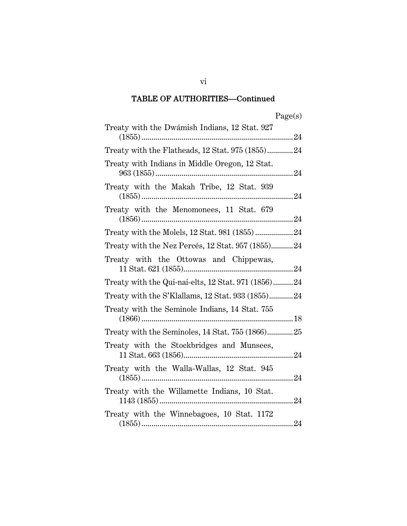| Treaty with the Dwámish Indians, 12 Stat. 927       |
|-----------------------------------------------------|
| Treaty with the Flatheads, 12 Stat. 975 (1855)24    |
| Treaty with Indians in Middle Oregon, 12 Stat.      |
| Treaty with the Makah Tribe, 12 Stat. 939           |
| Treaty with the Menomonees, 11 Stat. 679            |
|                                                     |
| Treaty with the Nez Percés, 12 Stat. 957 (1855)24   |
| Treaty with the Ottowas and Chippewas,              |
| Treaty with the Qui-nai-elts, 12 Stat. 971 (1856)24 |
| Treaty with the S'Klallams, 12 Stat. 933 (1855)24   |
| Treaty with the Seminole Indians, 14 Stat. 755      |
| Treaty with the Seminoles, 14 Stat. 755 (1866)25    |
| Treaty with the Stockbridges and Munsees,           |
| Treaty with the Walla-Wallas, 12 Stat. 945          |
| Treaty with the Willamette Indians, 10 Stat.        |
| Treaty with the Winnebagoes, 10 Stat. 1172          |

vi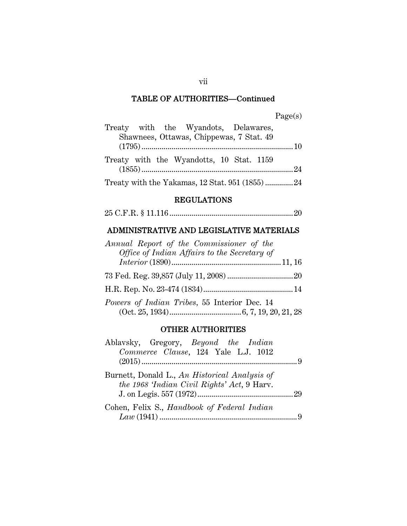|  | Treaty with the Wyandots, Delawares,            |  |  |
|--|-------------------------------------------------|--|--|
|  | Shawnees, Ottawas, Chippewas, 7 Stat. 49        |  |  |
|  |                                                 |  |  |
|  | Treaty with the Wyandotts, 10 Stat. 1159        |  |  |
|  |                                                 |  |  |
|  | Treaty with the Yakamas, 12 Stat. 951 (1855) 24 |  |  |

#### REGULATIONS

25 C.F.R. § 11.116 .............................................................. 20

## ADMINISTRATIVE AND LEGISLATIVE MATERIALS

| Annual Report of the Commissioner of the     |  |
|----------------------------------------------|--|
| Office of Indian Affairs to the Secretary of |  |
|                                              |  |
|                                              |  |
|                                              |  |
| Powers of Indian Tribes, 55 Interior Dec. 14 |  |
|                                              |  |

#### OTHER AUTHORITIES

| Ablavsky, Gregory, Beyond the Indian          |     |
|-----------------------------------------------|-----|
| Commerce Clause, 124 Yale L.J. 1012           |     |
|                                               | - q |
| Burnett, Donald L., An Historical Analysis of |     |
| the 1968 'Indian Civil Rights' Act, 9 Harv.   |     |
|                                               |     |
| Cohen, Felix S., Handbook of Federal Indian   |     |
|                                               |     |

vii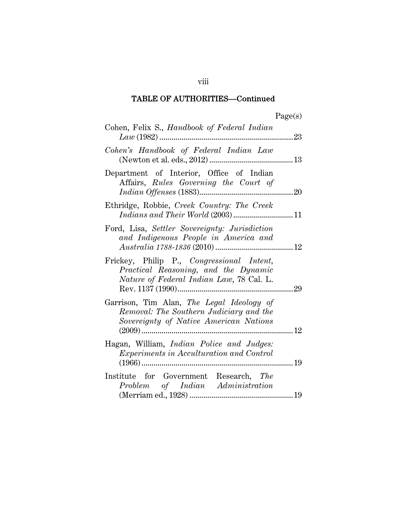| ager<br>s |
|-----------|
|-----------|

| Cohen, Felix S., <i>Handbook of Federal Indian</i>                                                                             | 23 |
|--------------------------------------------------------------------------------------------------------------------------------|----|
| Cohen's Handbook of Federal Indian Law                                                                                         |    |
| Department of Interior, Office of Indian<br>Affairs, Rules Governing the Court of                                              |    |
| Ethridge, Robbie, Creek Country: The Creek<br>Indians and Their World (2003)11                                                 |    |
| Ford, Lisa, Settler Sovereignty: Jurisdiction<br>and Indigenous People in America and                                          |    |
| Frickey, Philip P., Congressional Intent,<br>Practical Reasoning, and the Dynamic<br>Nature of Federal Indian Law, 78 Cal. L.  |    |
| Garrison, Tim Alan, The Legal Ideology of<br>Removal: The Southern Judiciary and the<br>Sovereignty of Native American Nations |    |
| Hagan, William, <i>Indian Police and Judges</i> :<br><i>Experiments in Acculturation and Control</i>                           |    |
| Institute for Government Research, The<br>Problem of Indian Administration                                                     |    |

viii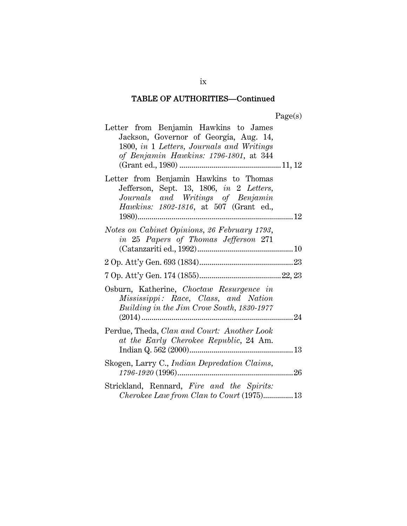| Letter from Benjamin Hawkins to James<br>Jackson, Governor of Georgia, Aug. 14,<br>1800, in 1 Letters, Journals and Writings<br>of Benjamin Hawkins: 1796-1801, at 344    |    |
|---------------------------------------------------------------------------------------------------------------------------------------------------------------------------|----|
| Letter from Benjamin Hawkins to Thomas<br>Jefferson, Sept. 13, 1806, in 2 Letters,<br>Journals and Writings of Benjamin<br><i>Hawkins: 1802-1816</i> , at 507 (Grant ed., |    |
| Notes on Cabinet Opinions, 26 February 1793,<br>in 25 Papers of Thomas Jefferson 271                                                                                      |    |
|                                                                                                                                                                           |    |
|                                                                                                                                                                           |    |
| Osburn, Katherine, Choctaw Resurgence in<br>Mississippi: Race, Class, and Nation<br>Building in the Jim Crow South, 1830-1977<br>$(2014)$                                 | 24 |
| Perdue, Theda, Clan and Court: Another Look<br>at the Early Cherokee Republic, 24 Am.                                                                                     |    |
| Skogen, Larry C., Indian Depredation Claims,                                                                                                                              |    |
| Strickland, Rennard, Fire and the Spirits:<br>Cherokee Law from Clan to Court (1975)13                                                                                    |    |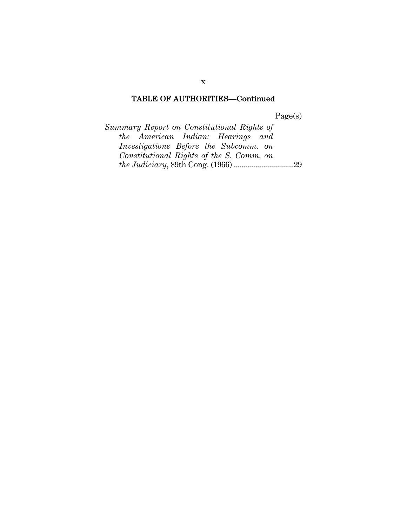Page(s)

*Summary Report on Constitutional Rights of the American Indian: Hearings and Investigations Before the Subcomm. on Constitutional Rights of the S. Comm. on the Judiciary*, 89th Cong. (1966) .............................. 29

x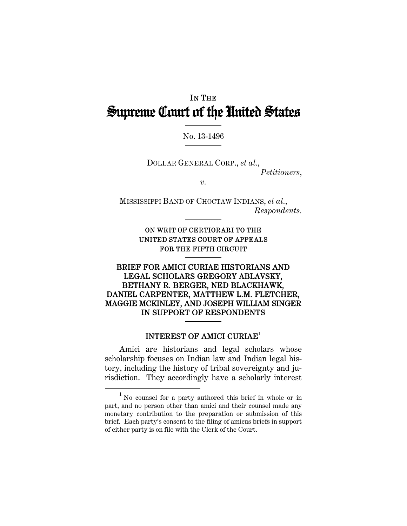## IN THE Supreme Court of the United States

#### No. 13-1496

DOLLAR GENERAL CORP., *et al.*, *Petitioners*,

*v.* 

MISSISSIPPI BAND OF CHOCTAW INDIANS, *et al.*, *Respondents.* 

> ON WRIT OF CERTIORARI TO THE UNITED STATES COURT OF APPEALS FOR THE FIFTH CIRCUIT

#### BRIEF FOR AMICI CURIAE HISTORIANS AND LEGAL SCHOLARS GREGORY ABLAVSKY, BETHANY R. BERGER, NED BLACKHAWK, DANIEL CARPENTER, MATTHEW L.M. FLETCHER, MAGGIE MCKINLEY, AND JOSEPH WILLIAM SINGER IN SUPPORT OF RESPONDENTS

#### INTEREST OF AMICI CURIAE<sup>1</sup>

Amici are historians and legal scholars whose scholarship focuses on Indian law and Indian legal history, including the history of tribal sovereignty and jurisdiction. They accordingly have a scholarly interest

<sup>1</sup> <sup>1</sup> No counsel for a party authored this brief in whole or in part, and no person other than amici and their counsel made any monetary contribution to the preparation or submission of this brief. Each party's consent to the filing of amicus briefs in support of either party is on file with the Clerk of the Court.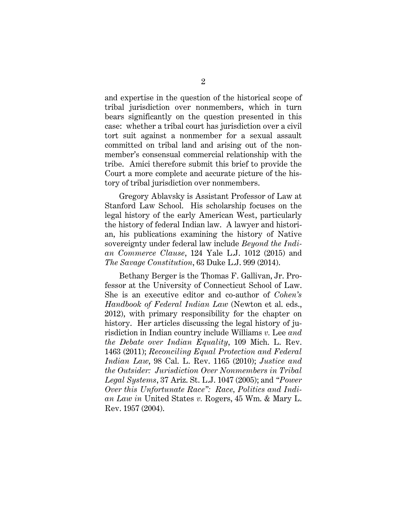and expertise in the question of the historical scope of tribal jurisdiction over nonmembers, which in turn bears significantly on the question presented in this case: whether a tribal court has jurisdiction over a civil tort suit against a nonmember for a sexual assault committed on tribal land and arising out of the nonmember's consensual commercial relationship with the tribe. Amici therefore submit this brief to provide the Court a more complete and accurate picture of the history of tribal jurisdiction over nonmembers.

Gregory Ablavsky is Assistant Professor of Law at Stanford Law School. His scholarship focuses on the legal history of the early American West, particularly the history of federal Indian law. A lawyer and historian, his publications examining the history of Native sovereignty under federal law include *Beyond the Indian Commerce Clause*, 124 Yale L.J. 1012 (2015) and *The Savage Constitution*, 63 Duke L.J. 999 (2014).

Bethany Berger is the Thomas F. Gallivan, Jr. Professor at the University of Connecticut School of Law. She is an executive editor and co-author of *Cohen's Handbook of Federal Indian Law* (Newton et al. eds., 2012), with primary responsibility for the chapter on history. Her articles discussing the legal history of jurisdiction in Indian country include Williams *v.* Lee *and the Debate over Indian Equality*, 109 Mich. L. Rev. 1463 (2011); *Reconciling Equal Protection and Federal Indian Law*, 98 Cal. L. Rev. 1165 (2010); *Justice and the Outsider: Jurisdiction Over Nonmembers in Tribal Legal Systems*, 37 Ariz. St. L.J. 1047 (2005); and *"Power Over this Unfortunate Race": Race, Politics and Indian Law in* United States *v.* Rogers, 45 Wm. & Mary L. Rev. 1957 (2004).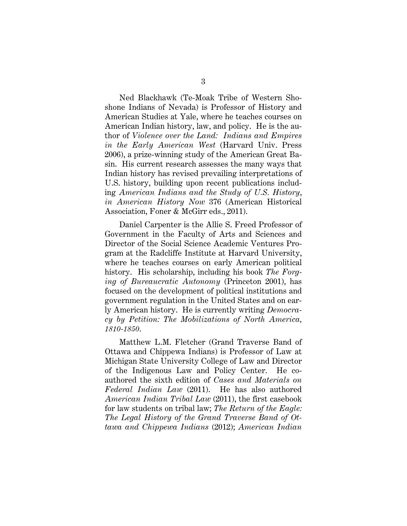Ned Blackhawk (Te-Moak Tribe of Western Shoshone Indians of Nevada) is Professor of History and American Studies at Yale, where he teaches courses on American Indian history, law, and policy. He is the author of *Violence over the Land: Indians and Empires in the Early American West* (Harvard Univ. Press 2006), a prize-winning study of the American Great Basin. His current research assesses the many ways that Indian history has revised prevailing interpretations of U.S. history, building upon recent publications including *American Indians and the Study of U.S. History*, *in American History Now* 376 (American Historical Association, Foner & McGirr eds., 2011).

Daniel Carpenter is the Allie S. Freed Professor of Government in the Faculty of Arts and Sciences and Director of the Social Science Academic Ventures Program at the Radcliffe Institute at Harvard University, where he teaches courses on early American political history. His scholarship, including his book *The Forging of Bureaucratic Autonomy* (Princeton 2001), has focused on the development of political institutions and government regulation in the United States and on early American history. He is currently writing *Democracy by Petition: The Mobilizations of North America, 1810-1850*.

Matthew L.M. Fletcher (Grand Traverse Band of Ottawa and Chippewa Indians) is Professor of Law at Michigan State University College of Law and Director of the Indigenous Law and Policy Center. He coauthored the sixth edition of *Cases and Materials on Federal Indian Law* (2011). He has also authored *American Indian Tribal Law* (2011), the first casebook for law students on tribal law; *The Return of the Eagle: The Legal History of the Grand Traverse Band of Ottawa and Chippewa Indians* (2012); *American Indian*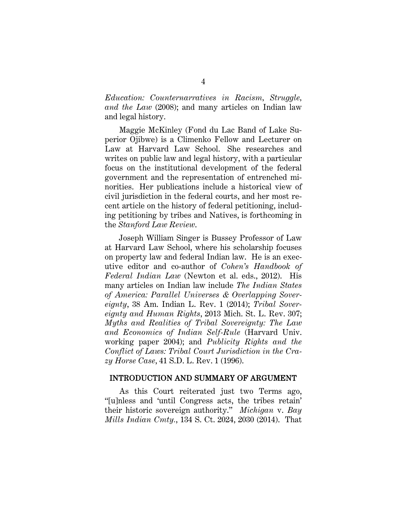*Education: Counternarratives in Racism, Struggle, and the Law* (2008); and many articles on Indian law and legal history.

Maggie McKinley (Fond du Lac Band of Lake Superior Ojibwe) is a Climenko Fellow and Lecturer on Law at Harvard Law School. She researches and writes on public law and legal history, with a particular focus on the institutional development of the federal government and the representation of entrenched minorities. Her publications include a historical view of civil jurisdiction in the federal courts, and her most recent article on the history of federal petitioning, including petitioning by tribes and Natives, is forthcoming in the *Stanford Law Review*.

Joseph William Singer is Bussey Professor of Law at Harvard Law School, where his scholarship focuses on property law and federal Indian law. He is an executive editor and co-author of *Cohen's Handbook of Federal Indian Law* (Newton et al. eds., 2012). His many articles on Indian law include *The Indian States of America: Parallel Universes & Overlapping Sovereignty*, 38 Am. Indian L. Rev. 1 (2014); *Tribal Sovereignty and Human Rights*, 2013 Mich. St. L. Rev. 307; *Myths and Realities of Tribal Sovereignty: The Law and Economics of Indian Self-Rule* (Harvard Univ. working paper 2004); and *Publicity Rights and the Conflict of Laws: Tribal Court Jurisdiction in the Crazy Horse Case*, 41 S.D. L. Rev. 1 (1996).

#### INTRODUCTION AND SUMMARY OF ARGUMENT

As this Court reiterated just two Terms ago, "[u]nless and 'until Congress acts, the tribes retain' their historic sovereign authority." *Michigan* v. *Bay Mills Indian Cmty.*, 134 S. Ct. 2024, 2030 (2014). That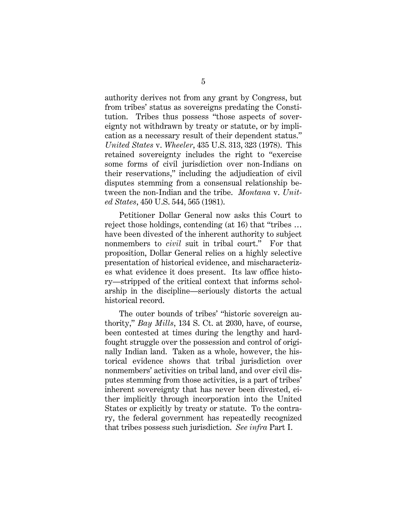authority derives not from any grant by Congress, but from tribes' status as sovereigns predating the Constitution. Tribes thus possess "those aspects of sovereignty not withdrawn by treaty or statute, or by implication as a necessary result of their dependent status." *United States* v. *Wheeler*, 435 U.S. 313, 323 (1978). This retained sovereignty includes the right to "exercise some forms of civil jurisdiction over non-Indians on their reservations," including the adjudication of civil disputes stemming from a consensual relationship between the non-Indian and the tribe. *Montana* v. *United States*, 450 U.S. 544, 565 (1981).

Petitioner Dollar General now asks this Court to reject those holdings, contending (at 16) that "tribes … have been divested of the inherent authority to subject nonmembers to *civil* suit in tribal court." For that proposition, Dollar General relies on a highly selective presentation of historical evidence, and mischaracterizes what evidence it does present. Its law office history—stripped of the critical context that informs scholarship in the discipline—seriously distorts the actual historical record.

The outer bounds of tribes' "historic sovereign authority," *Bay Mills*, 134 S. Ct. at 2030, have, of course, been contested at times during the lengthy and hardfought struggle over the possession and control of originally Indian land. Taken as a whole, however, the historical evidence shows that tribal jurisdiction over nonmembers' activities on tribal land, and over civil disputes stemming from those activities, is a part of tribes' inherent sovereignty that has never been divested, either implicitly through incorporation into the United States or explicitly by treaty or statute. To the contrary, the federal government has repeatedly recognized that tribes possess such jurisdiction. *See infra* Part I.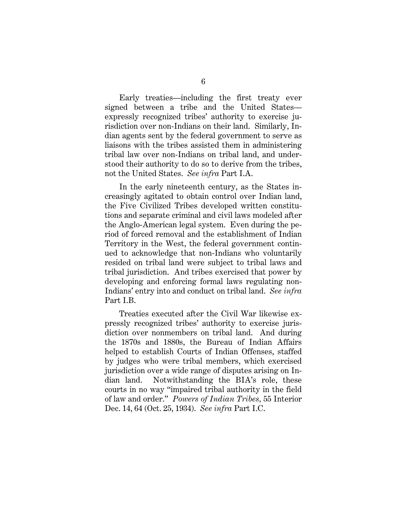Early treaties—including the first treaty ever signed between a tribe and the United States expressly recognized tribes' authority to exercise jurisdiction over non-Indians on their land. Similarly, Indian agents sent by the federal government to serve as liaisons with the tribes assisted them in administering tribal law over non-Indians on tribal land, and understood their authority to do so to derive from the tribes, not the United States. *See infra* Part I.A.

In the early nineteenth century, as the States increasingly agitated to obtain control over Indian land, the Five Civilized Tribes developed written constitutions and separate criminal and civil laws modeled after the Anglo-American legal system. Even during the period of forced removal and the establishment of Indian Territory in the West, the federal government continued to acknowledge that non-Indians who voluntarily resided on tribal land were subject to tribal laws and tribal jurisdiction. And tribes exercised that power by developing and enforcing formal laws regulating non-Indians' entry into and conduct on tribal land. *See infra*  Part I.B.

Treaties executed after the Civil War likewise expressly recognized tribes' authority to exercise jurisdiction over nonmembers on tribal land. And during the 1870s and 1880s, the Bureau of Indian Affairs helped to establish Courts of Indian Offenses, staffed by judges who were tribal members, which exercised jurisdiction over a wide range of disputes arising on Indian land. Notwithstanding the BIA's role, these courts in no way "impaired tribal authority in the field of law and order." *Powers of Indian Tribes,* 55 Interior Dec. 14, 64 (Oct. 25, 1934). *See infra* Part I.C.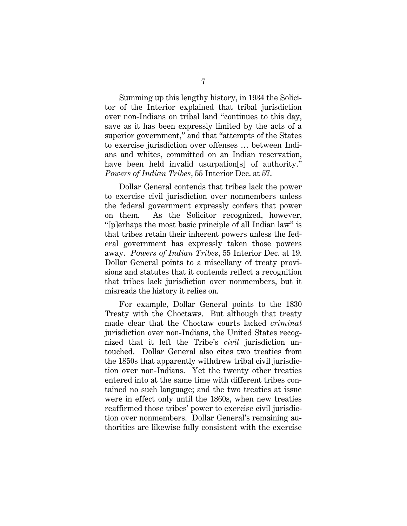Summing up this lengthy history, in 1934 the Solicitor of the Interior explained that tribal jurisdiction over non-Indians on tribal land "continues to this day, save as it has been expressly limited by the acts of a superior government," and that "attempts of the States to exercise jurisdiction over offenses … between Indians and whites, committed on an Indian reservation, have been held invalid usurpation[s] of authority." *Powers of Indian Tribes*, 55 Interior Dec. at 57.

Dollar General contends that tribes lack the power to exercise civil jurisdiction over nonmembers unless the federal government expressly confers that power on them. As the Solicitor recognized, however, "[p]erhaps the most basic principle of all Indian law" is that tribes retain their inherent powers unless the federal government has expressly taken those powers away. *Powers of Indian Tribes*, 55 Interior Dec. at 19. Dollar General points to a miscellany of treaty provisions and statutes that it contends reflect a recognition that tribes lack jurisdiction over nonmembers, but it misreads the history it relies on.

For example, Dollar General points to the 1830 Treaty with the Choctaws. But although that treaty made clear that the Choctaw courts lacked *criminal*  jurisdiction over non-Indians, the United States recognized that it left the Tribe's *civil* jurisdiction untouched. Dollar General also cites two treaties from the 1850s that apparently withdrew tribal civil jurisdiction over non-Indians. Yet the twenty other treaties entered into at the same time with different tribes contained no such language; and the two treaties at issue were in effect only until the 1860s, when new treaties reaffirmed those tribes' power to exercise civil jurisdiction over nonmembers. Dollar General's remaining authorities are likewise fully consistent with the exercise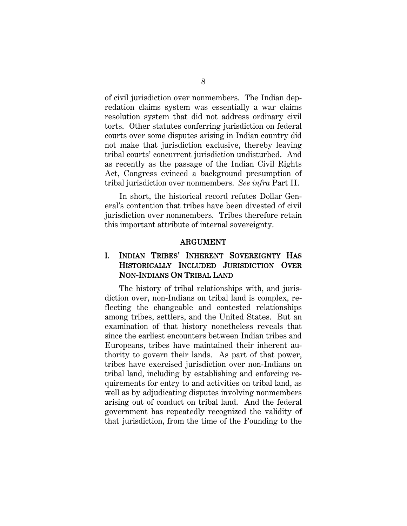of civil jurisdiction over nonmembers. The Indian depredation claims system was essentially a war claims resolution system that did not address ordinary civil torts. Other statutes conferring jurisdiction on federal courts over some disputes arising in Indian country did not make that jurisdiction exclusive, thereby leaving tribal courts' concurrent jurisdiction undisturbed. And as recently as the passage of the Indian Civil Rights Act, Congress evinced a background presumption of tribal jurisdiction over nonmembers. *See infra* Part II.

In short, the historical record refutes Dollar General's contention that tribes have been divested of civil jurisdiction over nonmembers. Tribes therefore retain this important attribute of internal sovereignty.

#### ARGUMENT

## I. INDIAN TRIBES' INHERENT SOVEREIGNTY HAS HISTORICALLY INCLUDED JURISDICTION OVER NON-INDIANS ON TRIBAL LAND

The history of tribal relationships with, and jurisdiction over, non-Indians on tribal land is complex, reflecting the changeable and contested relationships among tribes, settlers, and the United States. But an examination of that history nonetheless reveals that since the earliest encounters between Indian tribes and Europeans, tribes have maintained their inherent authority to govern their lands. As part of that power, tribes have exercised jurisdiction over non-Indians on tribal land, including by establishing and enforcing requirements for entry to and activities on tribal land, as well as by adjudicating disputes involving nonmembers arising out of conduct on tribal land. And the federal government has repeatedly recognized the validity of that jurisdiction, from the time of the Founding to the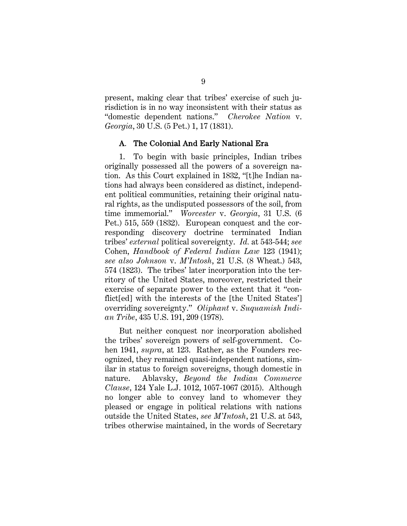present, making clear that tribes' exercise of such jurisdiction is in no way inconsistent with their status as "domestic dependent nations." *Cherokee Nation* v. *Georgia*, 30 U.S. (5 Pet.) 1, 17 (1831).

#### A. The Colonial And Early National Era

1. To begin with basic principles, Indian tribes originally possessed all the powers of a sovereign nation. As this Court explained in 1832, "[t]he Indian nations had always been considered as distinct, independent political communities, retaining their original natural rights, as the undisputed possessors of the soil, from time immemorial." *Worcester* v. *Georgia*, 31 U.S. (6 Pet.) 515, 559 (1832). European conquest and the corresponding discovery doctrine terminated Indian tribes' *external* political sovereignty. *Id.* at 543-544; *see* Cohen, *Handbook of Federal Indian Law* 123 (1941); *see also Johnson* v. *M'Intosh*, 21 U.S. (8 Wheat.) 543, 574 (1823). The tribes' later incorporation into the territory of the United States, moreover, restricted their exercise of separate power to the extent that it "conflict[ed] with the interests of the [the United States'] overriding sovereignty." *Oliphant* v. *Suquamish Indian Tribe*, 435 U.S. 191, 209 (1978).

But neither conquest nor incorporation abolished the tribes' sovereign powers of self-government. Cohen 1941, *supra*, at 123. Rather, as the Founders recognized, they remained quasi-independent nations, similar in status to foreign sovereigns, though domestic in nature. Ablavsky, *Beyond the Indian Commerce Clause*, 124 Yale L.J. 1012, 1057-1067 (2015). Although no longer able to convey land to whomever they pleased or engage in political relations with nations outside the United States, *see M'Intosh*, 21 U.S. at 543, tribes otherwise maintained, in the words of Secretary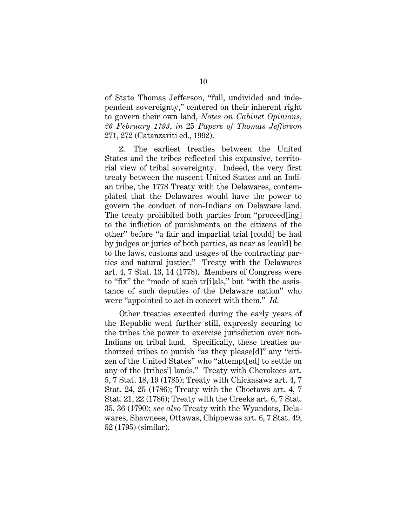of State Thomas Jefferson, "full, undivided and independent sovereignty," centered on their inherent right to govern their own land, *Notes on Cabinet Opinions, 26 February 1793*, *in* 25 *Papers of Thomas Jefferson* 271, 272 (Catanzariti ed., 1992).

2. The earliest treaties between the United States and the tribes reflected this expansive, territorial view of tribal sovereignty. Indeed, the very first treaty between the nascent United States and an Indian tribe, the 1778 Treaty with the Delawares, contemplated that the Delawares would have the power to govern the conduct of non-Indians on Delaware land. The treaty prohibited both parties from "proceed[ing] to the infliction of punishments on the citizens of the other" before "a fair and impartial trial [could] be had by judges or juries of both parties, as near as [could] be to the laws, customs and usages of the contracting parties and natural justice." Treaty with the Delawares art. 4, 7 Stat. 13, 14 (1778). Members of Congress were to "fix" the "mode of such tr[i]als," but "with the assistance of such deputies of the Delaware nation" who were "appointed to act in concert with them." *Id.*

Other treaties executed during the early years of the Republic went further still, expressly securing to the tribes the power to exercise jurisdiction over non-Indians on tribal land. Specifically, these treaties authorized tribes to punish "as they please[d]" any "citizen of the United States" who "attempt[ed] to settle on any of the [tribes'] lands." Treaty with Cherokees art. 5, 7 Stat. 18, 19 (1785); Treaty with Chickasaws art. 4, 7 Stat. 24, 25 (1786); Treaty with the Choctaws art. 4, 7 Stat. 21, 22 (1786); Treaty with the Creeks art. 6, 7 Stat. 35, 36 (1790); *see also* Treaty with the Wyandots, Delawares, Shawnees, Ottawas, Chippewas art. 6, 7 Stat. 49, 52 (1795) (similar).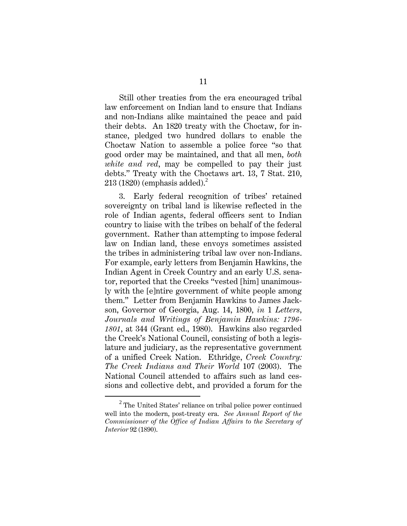Still other treaties from the era encouraged tribal law enforcement on Indian land to ensure that Indians and non-Indians alike maintained the peace and paid their debts. An 1820 treaty with the Choctaw, for instance, pledged two hundred dollars to enable the Choctaw Nation to assemble a police force "so that good order may be maintained, and that all men, *both white and red*, may be compelled to pay their just debts." Treaty with the Choctaws art. 13, 7 Stat. 210,  $213$  (1820) (emphasis added).<sup>2</sup>

3. Early federal recognition of tribes' retained sovereignty on tribal land is likewise reflected in the role of Indian agents, federal officers sent to Indian country to liaise with the tribes on behalf of the federal government. Rather than attempting to impose federal law on Indian land, these envoys sometimes assisted the tribes in administering tribal law over non-Indians. For example, early letters from Benjamin Hawkins, the Indian Agent in Creek Country and an early U.S. senator, reported that the Creeks "vested [him] unanimously with the [e]ntire government of white people among them." Letter from Benjamin Hawkins to James Jackson, Governor of Georgia, Aug. 14, 1800, *in* 1 *Letters, Journals and Writings of Benjamin Hawkins: 1796- 1801*, at 344 (Grant ed., 1980). Hawkins also regarded the Creek's National Council, consisting of both a legislature and judiciary, as the representative government of a unified Creek Nation. Ethridge, *Creek Country: The Creek Indians and Their World* 107 (2003). The National Council attended to affairs such as land cessions and collective debt, and provided a forum for the

<sup>2</sup>  $2$  The United States' reliance on tribal police power continued well into the modern, post-treaty era. *See Annual Report of the Commissioner of the Office of Indian Affairs to the Secretary of Interior* 92 (1890).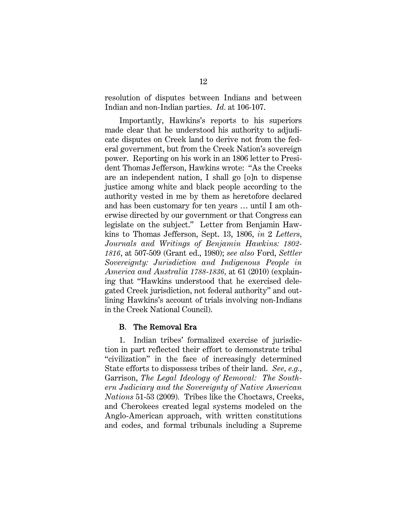resolution of disputes between Indians and between Indian and non-Indian parties. *Id.* at 106-107.

Importantly, Hawkins's reports to his superiors made clear that he understood his authority to adjudicate disputes on Creek land to derive not from the federal government, but from the Creek Nation's sovereign power. Reporting on his work in an 1806 letter to President Thomas Jefferson, Hawkins wrote: "As the Creeks are an independent nation, I shall go [o]n to dispense justice among white and black people according to the authority vested in me by them as heretofore declared and has been customary for ten years … until I am otherwise directed by our government or that Congress can legislate on the subject." Letter from Benjamin Hawkins to Thomas Jefferson, Sept. 13, 1806, *in* 2 *Letters, Journals and Writings of Benjamin Hawkins: 1802- 1816*, at 507-509 (Grant ed., 1980); *see also* Ford, *Settler Sovereignty: Jurisdiction and Indigenous People in America and Australia 1788-1836,* at 61 (2010) (explaining that "Hawkins understood that he exercised delegated Creek jurisdiction, not federal authority" and outlining Hawkins's account of trials involving non-Indians in the Creek National Council).

#### B. The Removal Era

1. Indian tribes' formalized exercise of jurisdiction in part reflected their effort to demonstrate tribal "civilization" in the face of increasingly determined State efforts to dispossess tribes of their land. *See, e.g.*, Garrison, *The Legal Ideology of Removal: The Southern Judiciary and the Sovereignty of Native American Nations* 51-53 (2009)*.* Tribes like the Choctaws, Creeks, and Cherokees created legal systems modeled on the Anglo-American approach, with written constitutions and codes, and formal tribunals including a Supreme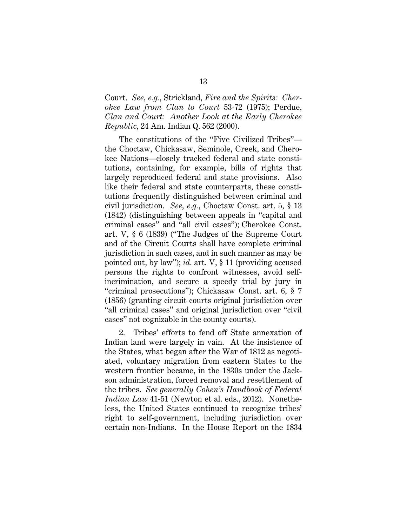Court. *See, e.g.*, Strickland, *Fire and the Spirits: Cherokee Law from Clan to Court* 53-72 (1975); Perdue, *Clan and Court: Another Look at the Early Cherokee Republic*, 24 Am. Indian Q. 562 (2000).

The constitutions of the "Five Civilized Tribes" the Choctaw, Chickasaw, Seminole, Creek, and Cherokee Nations—closely tracked federal and state constitutions, containing, for example, bills of rights that largely reproduced federal and state provisions. Also like their federal and state counterparts, these constitutions frequently distinguished between criminal and civil jurisdiction. *See, e.g.*, Choctaw Const. art. 5, § 13 (1842) (distinguishing between appeals in "capital and criminal cases" and "all civil cases"); Cherokee Const. art. V, § 6 (1839) ("The Judges of the Supreme Court and of the Circuit Courts shall have complete criminal jurisdiction in such cases, and in such manner as may be pointed out, by law"); *id.* art. V, § 11 (providing accused persons the rights to confront witnesses, avoid selfincrimination, and secure a speedy trial by jury in "criminal prosecutions"); Chickasaw Const. art. 6, § 7 (1856) (granting circuit courts original jurisdiction over "all criminal cases" and original jurisdiction over "civil cases" not cognizable in the county courts).

2. Tribes' efforts to fend off State annexation of Indian land were largely in vain. At the insistence of the States, what began after the War of 1812 as negotiated, voluntary migration from eastern States to the western frontier became, in the 1830s under the Jackson administration, forced removal and resettlement of the tribes. *See generally Cohen's Handbook of Federal Indian Law* 41-51 (Newton et al. eds., 2012). Nonetheless, the United States continued to recognize tribes' right to self-government, including jurisdiction over certain non-Indians. In the House Report on the 1834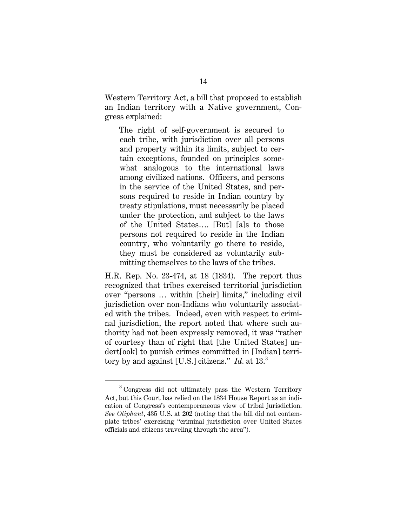Western Territory Act, a bill that proposed to establish an Indian territory with a Native government, Congress explained:

The right of self-government is secured to each tribe, with jurisdiction over all persons and property within its limits, subject to certain exceptions, founded on principles somewhat analogous to the international laws among civilized nations. Officers, and persons in the service of the United States, and persons required to reside in Indian country by treaty stipulations, must necessarily be placed under the protection, and subject to the laws of the United States…. [But] [a]s to those persons not required to reside in the Indian country, who voluntarily go there to reside, they must be considered as voluntarily submitting themselves to the laws of the tribes.

H.R. Rep. No. 23-474, at 18 (1834). The report thus recognized that tribes exercised territorial jurisdiction over "persons … within [their] limits," including civil jurisdiction over non-Indians who voluntarily associated with the tribes. Indeed, even with respect to criminal jurisdiction, the report noted that where such authority had not been expressly removed, it was "rather of courtesy than of right that [the United States] undert[ook] to punish crimes committed in [Indian] territory by and against [U.S.] citizens." *Id.* at 13.<sup>3</sup>

<sup>3</sup>  $3$  Congress did not ultimately pass the Western Territory Act, but this Court has relied on the 1834 House Report as an indication of Congress's contemporaneous view of tribal jurisdiction. *See Oliphant*, 435 U.S. at 202 (noting that the bill did not contemplate tribes' exercising "criminal jurisdiction over United States officials and citizens traveling through the area").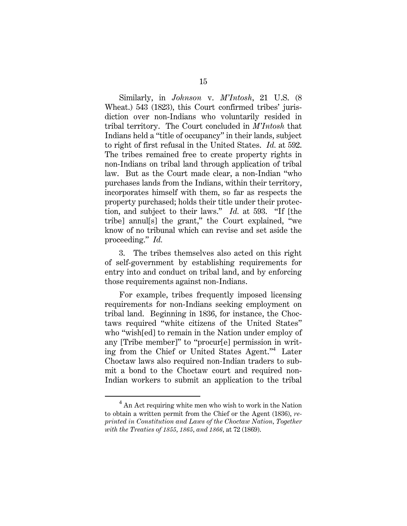Similarly, in *Johnson* v. *M'Intosh*, 21 U.S. (8 Wheat.) 543 (1823), this Court confirmed tribes' jurisdiction over non-Indians who voluntarily resided in tribal territory. The Court concluded in *M'Intosh* that Indians held a "title of occupancy" in their lands, subject to right of first refusal in the United States. *Id.* at 592. The tribes remained free to create property rights in non-Indians on tribal land through application of tribal law. But as the Court made clear, a non-Indian "who purchases lands from the Indians, within their territory, incorporates himself with them, so far as respects the property purchased; holds their title under their protection, and subject to their laws." *Id.* at 593. "If [the tribe] annul[s] the grant," the Court explained, "we know of no tribunal which can revise and set aside the proceeding." *Id.*

3. The tribes themselves also acted on this right of self-government by establishing requirements for entry into and conduct on tribal land, and by enforcing those requirements against non-Indians.

For example, tribes frequently imposed licensing requirements for non-Indians seeking employment on tribal land. Beginning in 1836, for instance, the Choctaws required "white citizens of the United States" who "wish[ed] to remain in the Nation under employ of any [Tribe member]" to "procur[e] permission in writing from the Chief or United States Agent."<sup>4</sup> Later Choctaw laws also required non-Indian traders to submit a bond to the Choctaw court and required non-Indian workers to submit an application to the tribal

 $\overline{4}$  $4$  An Act requiring white men who wish to work in the Nation to obtain a written permit from the Chief or the Agent (1836), *reprinted in Constitution and Laws of the Choctaw Nation, Together with the Treaties of 1855, 1865, and 1866,* at 72 (1869).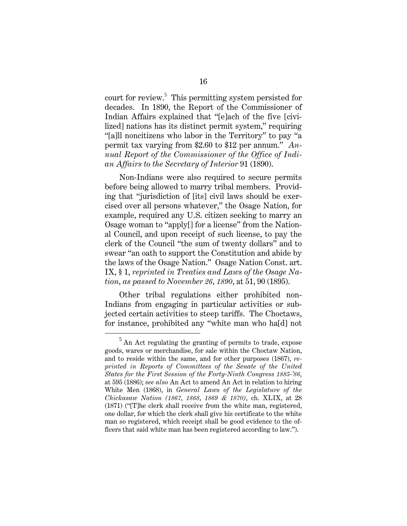court for review.<sup>5</sup> This permitting system persisted for decades. In 1890, the Report of the Commissioner of Indian Affairs explained that "[e]ach of the five [civilized] nations has its distinct permit system," requiring "[a]ll noncitizens who labor in the Territory" to pay "a permit tax varying from \$2.60 to \$12 per annum." *Annual Report of the Commissioner of the Office of Indian Affairs to the Secretary of Interior* 91 (1890).

Non-Indians were also required to secure permits before being allowed to marry tribal members. Providing that "jurisdiction of [its] civil laws should be exercised over all persons whatever," the Osage Nation, for example, required any U.S. citizen seeking to marry an Osage woman to "apply[] for a license" from the National Council, and upon receipt of such license, to pay the clerk of the Council "the sum of twenty dollars" and to swear "an oath to support the Constitution and abide by the laws of the Osage Nation." Osage Nation Const. art. IX, § 1, *reprinted in Treaties and Laws of the Osage Nation, as passed to November 26, 1890*, at 51, 90 (1895).

Other tribal regulations either prohibited non-Indians from engaging in particular activities or subjected certain activities to steep tariffs. The Choctaws, for instance, prohibited any "white man who ha[d] not

 $\frac{1}{5}$  $<sup>5</sup>$  An Act regulating the granting of permits to trade, expose</sup> goods, wares or merchandise, for sale within the Choctaw Nation, and to reside within the same, and for other purposes (1867), *reprinted in Reports of Committees of the Senate of the United States for the First Session of the Forty-Ninth Congress 1885-'86,*  at 595 (1886); *see also* An Act to amend An Act in relation to hiring White Men (1868), in *General Laws of the Legislature of the Chickasaw Nation (1867, 1868, 1869 & 1870)*, ch. XLIX, at 28 (1871) ("[T]he clerk shall receive from the white man, registered, one dollar, for which the clerk shall give his certificate to the white man so registered, which receipt shall be good evidence to the officers that said white man has been registered according to law.").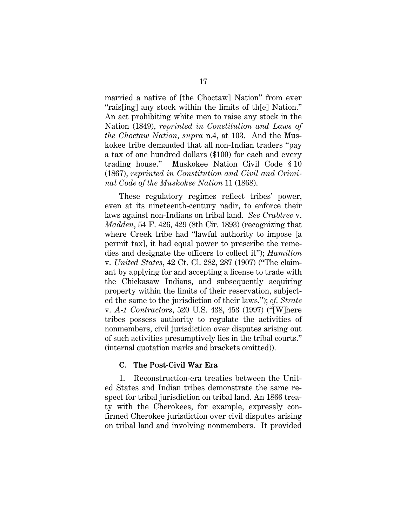married a native of [the Choctaw] Nation" from ever "rais[ing] any stock within the limits of th[e] Nation." An act prohibiting white men to raise any stock in the Nation (1849), *reprinted in Constitution and Laws of the Choctaw Nation*, *supra* n.4, at 103. And the Muskokee tribe demanded that all non-Indian traders "pay a tax of one hundred dollars (\$100) for each and every trading house." Muskokee Nation Civil Code § 10 (1867), *reprinted in Constitution and Civil and Criminal Code of the Muskokee Nation* 11 (1868).

These regulatory regimes reflect tribes' power, even at its nineteenth-century nadir, to enforce their laws against non-Indians on tribal land. *See Crabtree* v. *Madden*, 54 F. 426, 429 (8th Cir. 1893) (recognizing that where Creek tribe had "lawful authority to impose [a permit tax], it had equal power to prescribe the remedies and designate the officers to collect it"); *Hamilton*  v. *United States*, 42 Ct. Cl. 282, 287 (1907) ("The claimant by applying for and accepting a license to trade with the Chickasaw Indians, and subsequently acquiring property within the limits of their reservation, subjected the same to the jurisdiction of their laws."); *cf. Strate*  v. *A-1 Contractors*, 520 U.S. 438, 453 (1997) ("[W]here tribes possess authority to regulate the activities of nonmembers, civil jurisdiction over disputes arising out of such activities presumptively lies in the tribal courts." (internal quotation marks and brackets omitted)).

#### C. The Post-Civil War Era

1. Reconstruction-era treaties between the United States and Indian tribes demonstrate the same respect for tribal jurisdiction on tribal land. An 1866 treaty with the Cherokees, for example, expressly confirmed Cherokee jurisdiction over civil disputes arising on tribal land and involving nonmembers. It provided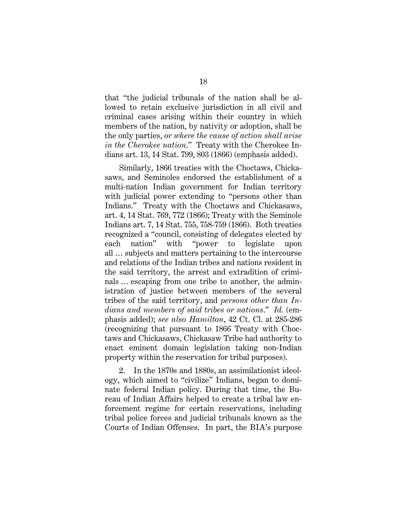that "the judicial tribunals of the nation shall be allowed to retain exclusive jurisdiction in all civil and criminal cases arising within their country in which members of the nation, by nativity or adoption, shall be the only parties, *or where the cause of action shall arise in the Cherokee nation*." Treaty with the Cherokee Indians art. 13, 14 Stat. 799, 803 (1866) (emphasis added).

Similarly, 1866 treaties with the Choctaws, Chickasaws, and Seminoles endorsed the establishment of a multi-nation Indian government for Indian territory with judicial power extending to "persons other than Indians." Treaty with the Choctaws and Chickasaws, art. 4, 14 Stat. 769, 772 (1866); Treaty with the Seminole Indians art. 7, 14 Stat. 755, 758-759 (1866). Both treaties recognized a "council, consisting of delegates elected by each nation" with "power to legislate upon all … subjects and matters pertaining to the intercourse and relations of the Indian tribes and nations resident in the said territory, the arrest and extradition of criminals … escaping from one tribe to another, the administration of justice between members of the several tribes of the said territory, and *persons other than Indians and members of said tribes or nations*." *Id.* (emphasis added); *see also Hamilton*, 42 Ct. Cl. at 285-286 (recognizing that pursuant to 1866 Treaty with Choctaws and Chickasaws, Chickasaw Tribe had authority to enact eminent domain legislation taking non-Indian property within the reservation for tribal purposes).

2. In the 1870s and 1880s, an assimilationist ideology, which aimed to "civilize" Indians, began to dominate federal Indian policy. During that time, the Bureau of Indian Affairs helped to create a tribal law enforcement regime for certain reservations, including tribal police forces and judicial tribunals known as the Courts of Indian Offenses. In part, the BIA's purpose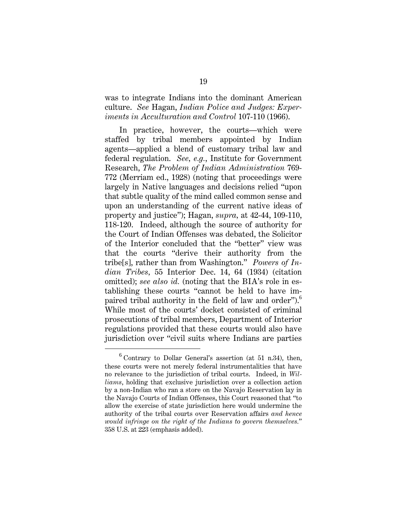was to integrate Indians into the dominant American culture. *See* Hagan, *Indian Police and Judges: Experiments in Acculturation and Control* 107-110 (1966).

In practice, however, the courts—which were staffed by tribal members appointed by Indian agents—applied a blend of customary tribal law and federal regulation. *See, e.g.*, Institute for Government Research, *The Problem of Indian Administration* 769- 772 (Merriam ed., 1928) (noting that proceedings were largely in Native languages and decisions relied "upon that subtle quality of the mind called common sense and upon an understanding of the current native ideas of property and justice"); Hagan, *supra,* at 42-44, 109-110, 118-120. Indeed, although the source of authority for the Court of Indian Offenses was debated, the Solicitor of the Interior concluded that the "better" view was that the courts "derive their authority from the tribe[s], rather than from Washington." *Powers of Indian Tribes,* 55 Interior Dec. 14, 64 (1934) (citation omitted); *see also id.* (noting that the BIA's role in establishing these courts "cannot be held to have impaired tribal authority in the field of law and order").<sup>6</sup> While most of the courts' docket consisted of criminal prosecutions of tribal members, Department of Interior regulations provided that these courts would also have jurisdiction over "civil suits where Indians are parties

<sup>6</sup>  $6$  Contrary to Dollar General's assertion (at 51 n.34), then, these courts were not merely federal instrumentalities that have no relevance to the jurisdiction of tribal courts. Indeed, in *Williams*, holding that exclusive jurisdiction over a collection action by a non-Indian who ran a store on the Navajo Reservation lay in the Navajo Courts of Indian Offenses, this Court reasoned that "to allow the exercise of state jurisdiction here would undermine the authority of the tribal courts over Reservation affairs *and hence would infringe on the right of the Indians to govern themselves.*" 358 U.S. at 223 (emphasis added).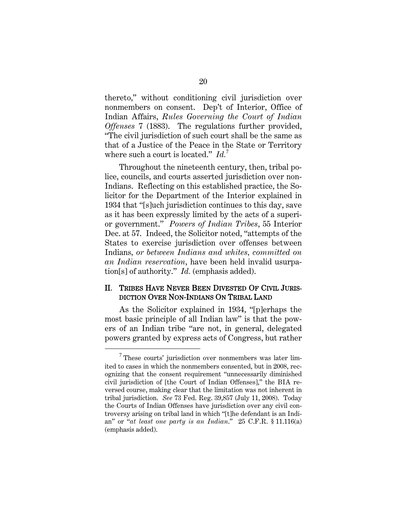thereto," without conditioning civil jurisdiction over nonmembers on consent. Dep't of Interior, Office of Indian Affairs, *Rules Governing the Court of Indian Offenses* 7 (1883). The regulations further provided, "The civil jurisdiction of such court shall be the same as that of a Justice of the Peace in the State or Territory where such a court is located." *Id.*<sup>7</sup>

Throughout the nineteenth century, then, tribal police, councils, and courts asserted jurisdiction over non-Indians. Reflecting on this established practice, the Solicitor for the Department of the Interior explained in 1934 that "[s]uch jurisdiction continues to this day, save as it has been expressly limited by the acts of a superior government." *Powers of Indian Tribes*, 55 Interior Dec. at 57. Indeed, the Solicitor noted, "attempts of the States to exercise jurisdiction over offenses between Indians*, or between Indians and whites, committed on an Indian reservation*, have been held invalid usurpation[s] of authority." *Id.* (emphasis added).

#### II. TRIBES HAVE NEVER BEEN DIVESTED OF CIVIL JURIS-DICTION OVER NON-INDIANS ON TRIBAL LAND

As the Solicitor explained in 1934, "[p]erhaps the most basic principle of all Indian law" is that the powers of an Indian tribe "are not, in general, delegated powers granted by express acts of Congress, but rather

 $\overline{7}$  $\sigma$ <sup>T</sup> These courts' jurisdiction over nonmembers was later limited to cases in which the nonmembers consented, but in 2008, recognizing that the consent requirement "unnecessarily diminished civil jurisdiction of [the Court of Indian Offenses]," the BIA reversed course, making clear that the limitation was not inherent in tribal jurisdiction. *See* 73 Fed. Reg. 39,857 (July 11, 2008). Today the Courts of Indian Offenses have jurisdiction over any civil controversy arising on tribal land in which "[t]he defendant is an Indian" or "*at least one party is an Indian*." 25 C.F.R. § 11.116(a) (emphasis added).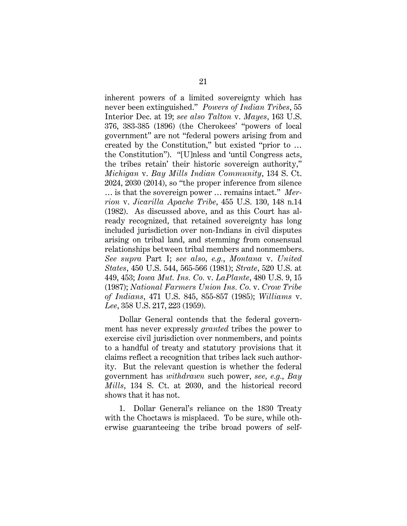inherent powers of a limited sovereignty which has never been extinguished." *Powers of Indian Tribes*, 55 Interior Dec. at 19; *see also Talton* v. *Mayes*, 163 U.S. 376, 383-385 (1896) (the Cherokees' "powers of local government" are not "federal powers arising from and created by the Constitution," but existed "prior to … the Constitution"). "[U]nless and 'until Congress acts, the tribes retain' their historic sovereign authority," *Michigan* v. *Bay Mills Indian Community*, 134 S. Ct. 2024, 2030 (2014), so "the proper inference from silence … is that the sovereign power … remains intact." *Merrion* v. *Jicarilla Apache Tribe*, 455 U.S. 130, 148 n.14 (1982). As discussed above, and as this Court has already recognized, that retained sovereignty has long included jurisdiction over non-Indians in civil disputes arising on tribal land, and stemming from consensual relationships between tribal members and nonmembers. *See supra* Part I; *see also, e.g.*, *Montana* v. *United States*, 450 U.S. 544, 565-566 (1981); *Strate*, 520 U.S. at 449, 453; *Iowa Mut. Ins. Co.* v. *LaPlante*, 480 U.S. 9, 15 (1987); *National Farmers Union Ins. Co.* v. *Crow Tribe of Indians*, 471 U.S. 845, 855-857 (1985); *Williams* v. *Lee*, 358 U.S. 217, 223 (1959).

Dollar General contends that the federal government has never expressly *granted* tribes the power to exercise civil jurisdiction over nonmembers, and points to a handful of treaty and statutory provisions that it claims reflect a recognition that tribes lack such authority. But the relevant question is whether the federal government has *withdrawn* such power, *see, e.g.*, *Bay Mills*, 134 S. Ct. at 2030, and the historical record shows that it has not.

1. Dollar General's reliance on the 1830 Treaty with the Choctaws is misplaced. To be sure, while otherwise guaranteeing the tribe broad powers of self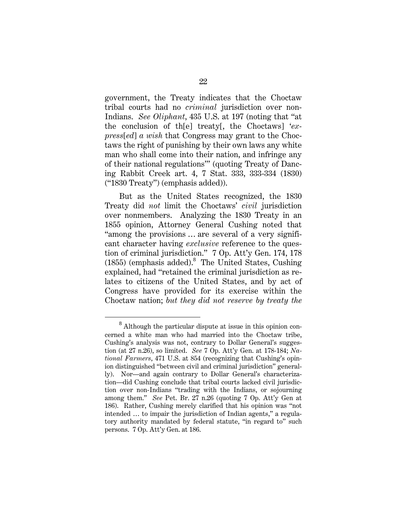government, the Treaty indicates that the Choctaw tribal courts had no *criminal* jurisdiction over non-Indians. *See Oliphant*, 435 U.S. at 197 (noting that "at the conclusion of th[e] treaty[, the Choctaws] '*express*[*ed*] *a wish* that Congress may grant to the Choctaws the right of punishing by their own laws any white man who shall come into their nation, and infringe any of their national regulations'" (quoting Treaty of Dancing Rabbit Creek art. 4, 7 Stat. 333, 333-334 (1830) ("1830 Treaty") (emphasis added)).

But as the United States recognized, the 1830 Treaty did *not* limit the Choctaws' *civil* jurisdiction over nonmembers. Analyzing the 1830 Treaty in an 1855 opinion, Attorney General Cushing noted that "among the provisions … are several of a very significant character having *exclusive* reference to the question of criminal jurisdiction." 7 Op. Att'y Gen. 174, 178  $(1855)$  (emphasis added). $8$  The United States, Cushing explained, had "retained the criminal jurisdiction as relates to citizens of the United States, and by act of Congress have provided for its exercise within the Choctaw nation; *but they did not reserve by treaty the* 

<sup>8</sup> <sup>8</sup> Although the particular dispute at issue in this opinion concerned a white man who had married into the Choctaw tribe, Cushing's analysis was not, contrary to Dollar General's suggestion (at 27 n.26), so limited. *See* 7 Op. Att'y Gen. at 178-184; *National Farmers*, 471 U.S. at 854 (recognizing that Cushing's opinion distinguished "between civil and criminal jurisdiction" generally). Nor—and again contrary to Dollar General's characterization—did Cushing conclude that tribal courts lacked civil jurisdiction over non-Indians "trading with the Indians, or sojourning among them." *See* Pet. Br. 27 n.26 (quoting 7 Op. Att'y Gen at 186). Rather, Cushing merely clarified that his opinion was "not intended … to impair the jurisdiction of Indian agents," a regulatory authority mandated by federal statute, "in regard to" such persons. 7 Op. Att'y Gen. at 186.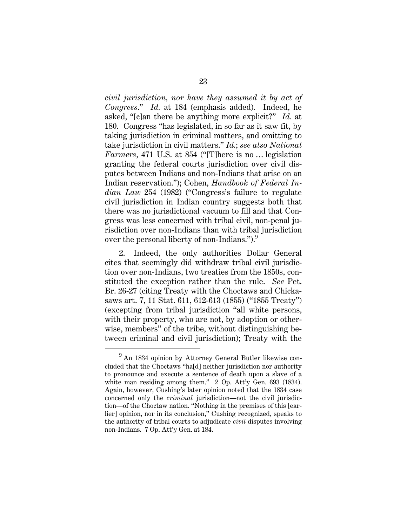*civil jurisdiction, nor have they assumed it by act of Congress*." *Id.* at 184 (emphasis added). Indeed, he asked, "[c]an there be anything more explicit?" *Id.* at 180. Congress "has legislated, in so far as it saw fit, by taking jurisdiction in criminal matters, and omitting to take jurisdiction in civil matters." *Id.*; *see also National Farmers*, 471 U.S. at 854 ("[T]here is no … legislation granting the federal courts jurisdiction over civil disputes between Indians and non-Indians that arise on an Indian reservation."); Cohen, *Handbook of Federal Indian Law* 254 (1982) ("Congress's failure to regulate civil jurisdiction in Indian country suggests both that there was no jurisdictional vacuum to fill and that Congress was less concerned with tribal civil, non-penal jurisdiction over non-Indians than with tribal jurisdiction over the personal liberty of non-Indians.").<sup>9</sup>

2. Indeed, the only authorities Dollar General cites that seemingly did withdraw tribal civil jurisdiction over non-Indians, two treaties from the 1850s, constituted the exception rather than the rule. *See* Pet. Br. 26-27 (citing Treaty with the Choctaws and Chickasaws art. 7, 11 Stat. 611, 612-613 (1855) ("1855 Treaty") (excepting from tribal jurisdiction "all white persons, with their property, who are not, by adoption or otherwise, members" of the tribe, without distinguishing between criminal and civil jurisdiction); Treaty with the

<sup>9</sup> <sup>9</sup> An 1834 opinion by Attorney General Butler likewise concluded that the Choctaws "ha[d] neither jurisdiction nor authority to pronounce and execute a sentence of death upon a slave of a white man residing among them." 2 Op. Att'y Gen. 693 (1834). Again, however, Cushing's later opinion noted that the 1834 case concerned only the *criminal* jurisdiction—not the civil jurisdiction—of the Choctaw nation. "Nothing in the premises of this [earlier] opinion, nor in its conclusion," Cushing recognized, speaks to the authority of tribal courts to adjudicate *civil* disputes involving non-Indians. 7 Op. Att'y Gen. at 184.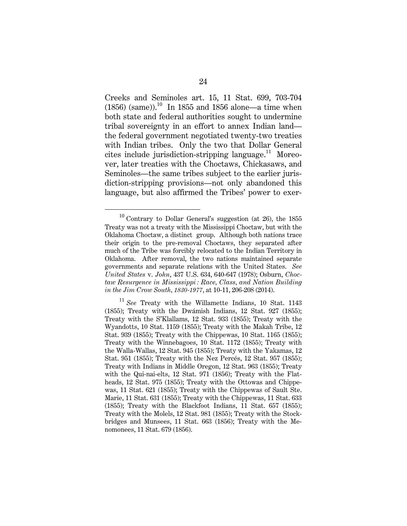Creeks and Seminoles art. 15, 11 Stat. 699, 703-704  $(1856)$  (same)).<sup>10</sup> In 1855 and 1856 alone—a time when both state and federal authorities sought to undermine tribal sovereignty in an effort to annex Indian land the federal government negotiated twenty-two treaties with Indian tribes. Only the two that Dollar General cites include jurisdiction-stripping language. $11$  Moreover, later treaties with the Choctaws, Chickasaws, and Seminoles—the same tribes subject to the earlier jurisdiction-stripping provisions—not only abandoned this language, but also affirmed the Tribes' power to exer-

 $10$  Contrary to Dollar General's suggestion (at 26), the 1855 Treaty was not a treaty with the Mississippi Choctaw, but with the Oklahoma Choctaw, a distinct group. Although both nations trace their origin to the pre-removal Choctaws, they separated after much of the Tribe was forcibly relocated to the Indian Territory in Oklahoma. After removal, the two nations maintained separate governments and separate relations with the United States. *See United States* v. *John*, 437 U.S. 634, 640-647 (1978); Osburn, *Choctaw Resurgence in Mississippi : Race, Class, and Nation Building in the Jim Crow South, 1830-1977*, at 10-11, 206-208 (2014).

<sup>11</sup> *See* Treaty with the Willamette Indians, 10 Stat. 1143 (1855); Treaty with the Dwámish Indians, 12 Stat. 927 (1855); Treaty with the S'Klallams, 12 Stat. 933 (1855); Treaty with the Wyandotts, 10 Stat. 1159 (1855); Treaty with the Makah Tribe, 12 Stat. 939 (1855); Treaty with the Chippewas, 10 Stat. 1165 (1855); Treaty with the Winnebagoes, 10 Stat. 1172 (1855); Treaty with the Walla-Wallas, 12 Stat. 945 (1855); Treaty with the Yakamas, 12 Stat. 951 (1855); Treaty with the Nez Percés, 12 Stat. 957 (1855); Treaty with Indians in Middle Oregon, 12 Stat. 963 (1855); Treaty with the Qui-nai-elts, 12 Stat. 971 (1856); Treaty with the Flatheads, 12 Stat. 975 (1855); Treaty with the Ottowas and Chippewas, 11 Stat. 621 (1855); Treaty with the Chippewas of Sault Ste. Marie, 11 Stat. 631 (1855); Treaty with the Chippewas, 11 Stat. 633 (1855); Treaty with the Blackfoot Indians, 11 Stat. 657 (1855); Treaty with the Molels, 12 Stat. 981 (1855); Treaty with the Stockbridges and Munsees, 11 Stat. 663 (1856); Treaty with the Menomonees, 11 Stat. 679 (1856).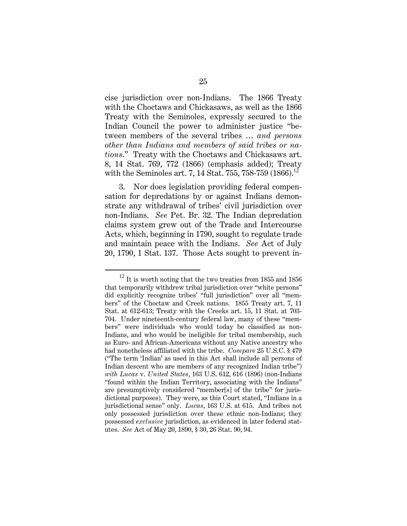cise jurisdiction over non-Indians. The 1866 Treaty with the Choctaws and Chickasaws, as well as the 1866 Treaty with the Seminoles, expressly secured to the Indian Council the power to administer justice "between members of the several tribes … *and persons other than Indians and members of said tribes or nations*." Treaty with the Choctaws and Chickasaws art. 8, 14 Stat. 769, 772 (1866) (emphasis added); Treaty with the Seminoles art. 7, 14 Stat. 755, 758-759 (1866).<sup>12</sup>

3. Nor does legislation providing federal compensation for depredations by or against Indians demonstrate any withdrawal of tribes' civil jurisdiction over non-Indians. *See* Pet. Br. 32. The Indian depredation claims system grew out of the Trade and Intercourse Acts, which, beginning in 1790, sought to regulate trade and maintain peace with the Indians. *See* Act of July 20, 1790, 1 Stat. 137. Those Acts sought to prevent in-

 $12$  It is worth noting that the two treaties from 1855 and 1856 that temporarily withdrew tribal jurisdiction over "white persons" did explicitly recognize tribes' "full jurisdiction" over all "members" of the Choctaw and Creek nations. 1855 Treaty art. 7, 11 Stat. at 612-613; Treaty with the Creeks art. 15, 11 Stat. at 703- 704. Under nineteenth-century federal law, many of these "members" were individuals who would today be classified as non-Indians, and who would be ineligible for tribal membership, such as Euro- and African-Americans without any Native ancestry who had nonetheless affiliated with the tribe. *Compare* 25 U.S.C. § 479 ("The term 'Indian' as used in this Act shall include all persons of Indian descent who are members of any recognized Indian tribe") *with Lucas* v. *United States*, 163 U.S. 612, 616 (1896) (non-Indians "found within the Indian Territory, associating with the Indians" are presumptively considered "member[s] of the tribe" for jurisdictional purposes). They were, as this Court stated, "Indians in a jurisdictional sense" only. *Lucas*, 163 U.S. at 615. And tribes not only possessed jurisdiction over these ethnic non-Indians; they possessed *exclusive* jurisdiction, as evidenced in later federal statutes. *See* Act of May 20, 1890, § 30, 26 Stat. 90, 94.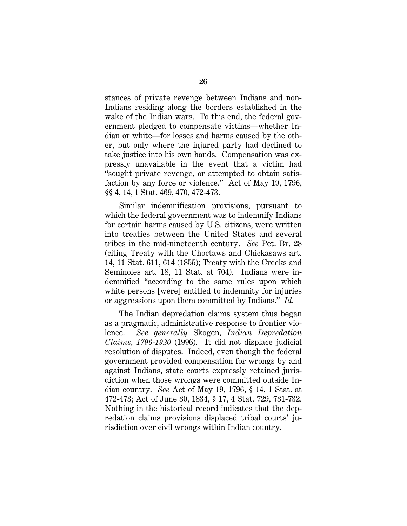stances of private revenge between Indians and non-Indians residing along the borders established in the wake of the Indian wars. To this end, the federal government pledged to compensate victims—whether Indian or white—for losses and harms caused by the other, but only where the injured party had declined to take justice into his own hands. Compensation was expressly unavailable in the event that a victim had "sought private revenge, or attempted to obtain satisfaction by any force or violence." Act of May 19, 1796, §§ 4, 14, 1 Stat. 469, 470, 472-473.

Similar indemnification provisions, pursuant to which the federal government was to indemnify Indians for certain harms caused by U.S. citizens, were written into treaties between the United States and several tribes in the mid-nineteenth century. *See* Pet. Br. 28 (citing Treaty with the Choctaws and Chickasaws art. 14, 11 Stat. 611, 614 (1855); Treaty with the Creeks and Seminoles art. 18, 11 Stat. at 704). Indians were indemnified "according to the same rules upon which white persons [were] entitled to indemnity for injuries or aggressions upon them committed by Indians." *Id.*

The Indian depredation claims system thus began as a pragmatic, administrative response to frontier violence. *See generally* Skogen, *Indian Depredation Claims, 1796-1920* (1996). It did not displace judicial resolution of disputes. Indeed, even though the federal government provided compensation for wrongs by and against Indians, state courts expressly retained jurisdiction when those wrongs were committed outside Indian country. *See* Act of May 19, 1796, § 14, 1 Stat. at 472-473; Act of June 30, 1834, § 17, 4 Stat. 729, 731-732. Nothing in the historical record indicates that the depredation claims provisions displaced tribal courts' jurisdiction over civil wrongs within Indian country.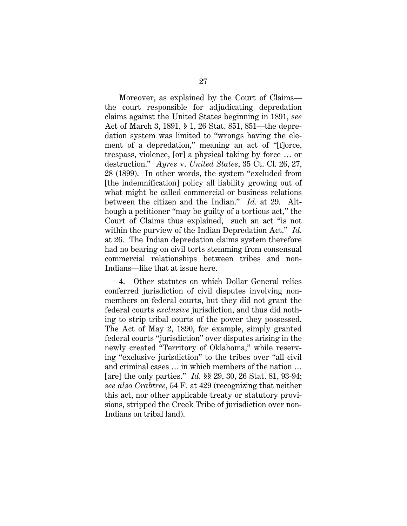Moreover, as explained by the Court of Claims the court responsible for adjudicating depredation claims against the United States beginning in 1891, *see*  Act of March 3, 1891, § 1, 26 Stat. 851, 851—the depredation system was limited to "wrongs having the element of a depredation," meaning an act of "[f]orce, trespass, violence, [or] a physical taking by force … or destruction." *Ayres* v. *United States*, 35 Ct. Cl. 26, 27, 28 (1899). In other words, the system "excluded from [the indemnification] policy all liability growing out of what might be called commercial or business relations between the citizen and the Indian." *Id.* at 29. Although a petitioner "may be guilty of a tortious act," the Court of Claims thus explained, such an act "is not within the purview of the Indian Depredation Act." *Id.* at 26. The Indian depredation claims system therefore had no bearing on civil torts stemming from consensual commercial relationships between tribes and non-Indians—like that at issue here.

4. Other statutes on which Dollar General relies conferred jurisdiction of civil disputes involving nonmembers on federal courts, but they did not grant the federal courts *exclusive* jurisdiction, and thus did nothing to strip tribal courts of the power they possessed. The Act of May 2, 1890, for example, simply granted federal courts "jurisdiction" over disputes arising in the newly created "Territory of Oklahoma," while reserving "exclusive jurisdiction" to the tribes over "all civil and criminal cases … in which members of the nation … [are] the only parties." *Id.* §§ 29, 30, 26 Stat. 81, 93-94; *see also Crabtree*, 54 F. at 429 (recognizing that neither this act, nor other applicable treaty or statutory provisions, stripped the Creek Tribe of jurisdiction over non-Indians on tribal land).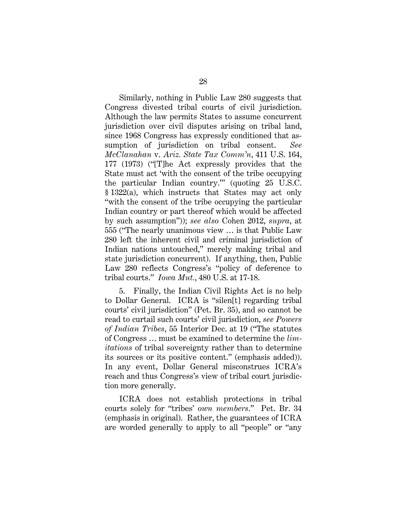Similarly, nothing in Public Law 280 suggests that Congress divested tribal courts of civil jurisdiction. Although the law permits States to assume concurrent jurisdiction over civil disputes arising on tribal land, since 1968 Congress has expressly conditioned that assumption of jurisdiction on tribal consent. *See McClanahan* v. *Ariz. State Tax Comm'n*, 411 U.S. 164, 177 (1973) ("[T]he Act expressly provides that the State must act 'with the consent of the tribe occupying the particular Indian country.'" (quoting 25 U.S.C. § 1322(a), which instructs that States may act only "with the consent of the tribe occupying the particular Indian country or part thereof which would be affected by such assumption")); *see also* Cohen 2012, *supra*, at 555 ("The nearly unanimous view … is that Public Law 280 left the inherent civil and criminal jurisdiction of Indian nations untouched," merely making tribal and state jurisdiction concurrent). If anything, then, Public Law 280 reflects Congress's "policy of deference to tribal courts." *Iowa Mut.*, 480 U.S. at 17-18.

5. Finally, the Indian Civil Rights Act is no help to Dollar General. ICRA is "silen[t] regarding tribal courts' civil jurisdiction" (Pet. Br. 35), and so cannot be read to curtail such courts' civil jurisdiction, *see Powers of Indian Tribes*, 55 Interior Dec. at 19 ("The statutes of Congress … must be examined to determine the *limitations* of tribal sovereignty rather than to determine its sources or its positive content." (emphasis added)). In any event, Dollar General misconstrues ICRA's reach and thus Congress's view of tribal court jurisdiction more generally.

ICRA does not establish protections in tribal courts solely for "tribes' *own members*." Pet. Br. 34 (emphasis in original). Rather, the guarantees of ICRA are worded generally to apply to all "people" or "any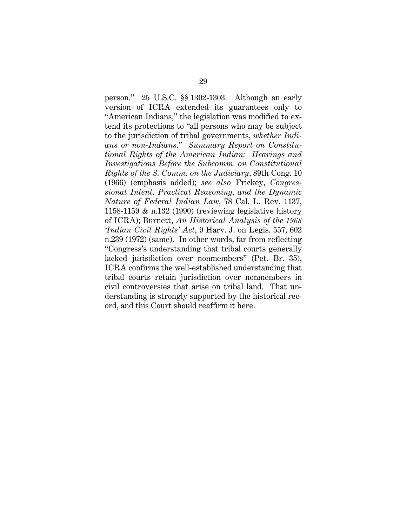person." 25 U.S.C. §§ 1302-1303. Although an early version of ICRA extended its guarantees only to "American Indians," the legislation was modified to extend its protections to "all persons who may be subject to the jurisdiction of tribal governments, *whether Indians or non-Indians*." *Summary Report on Constitutional Rights of the American Indian: Hearings and Investigations Before the Subcomm. on Constitutional Rights of the S. Comm. on the Judiciary*, 89th Cong. 10 (1966) (emphasis added); *see also* Frickey, *Congressional Intent, Practical Reasoning, and the Dynamic Nature of Federal Indian Law*, 78 Cal. L. Rev. 1137, 1158-1159 & n.132 (1990) (reviewing legislative history of ICRA); Burnett, *An Historical Analysis of the 1968 'Indian Civil Rights' Act*, 9 Harv. J. on Legis. 557, 602 n.239 (1972) (same). In other words, far from reflecting "Congress's understanding that tribal courts generally lacked jurisdiction over nonmembers" (Pet. Br. 35), ICRA confirms the well-established understanding that tribal courts retain jurisdiction over nonmembers in civil controversies that arise on tribal land. That understanding is strongly supported by the historical record, and this Court should reaffirm it here.